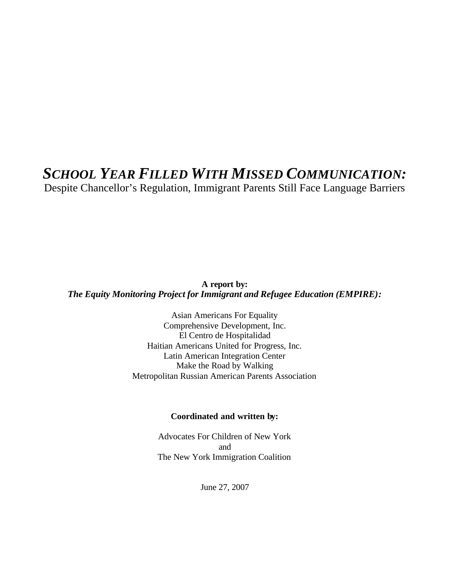## *SCHOOL YEAR FILLED WITH MISSED COMMUNICATION:*

Despite Chancellor's Regulation, Immigrant Parents Still Face Language Barriers

**A report by:**  *The Equity Monitoring Project for Immigrant and Refugee Education (EMPIRE):*

> Asian Americans For Equality Comprehensive Development, Inc. El Centro de Hospitalidad Haitian Americans United for Progress, Inc. Latin American Integration Center Make the Road by Walking Metropolitan Russian American Parents Association

#### **Coordinated and written by:**

Advocates For Children of New York and The New York Immigration Coalition

June 27, 2007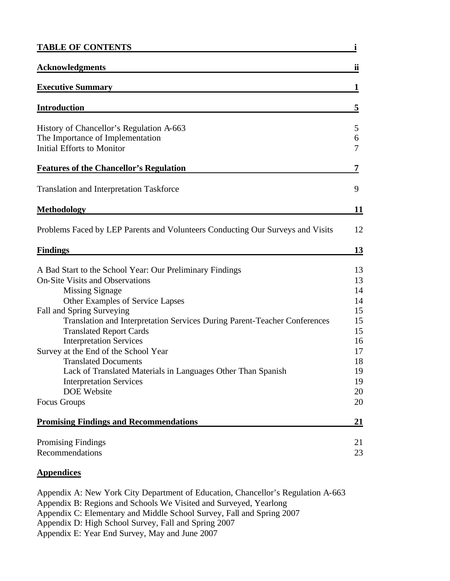| <b>TABLE OF CONTENTS</b>                                                                                                                                                                                                                                                                                                                     |                                              |  |
|----------------------------------------------------------------------------------------------------------------------------------------------------------------------------------------------------------------------------------------------------------------------------------------------------------------------------------------------|----------------------------------------------|--|
| <b>Acknowledgments</b>                                                                                                                                                                                                                                                                                                                       | ii                                           |  |
| <b>Executive Summary</b>                                                                                                                                                                                                                                                                                                                     | 1                                            |  |
| <b>Introduction</b>                                                                                                                                                                                                                                                                                                                          | 5                                            |  |
| History of Chancellor's Regulation A-663<br>The Importance of Implementation<br><b>Initial Efforts to Monitor</b>                                                                                                                                                                                                                            | 5<br>6<br>7                                  |  |
| <b>Features of the Chancellor's Regulation</b>                                                                                                                                                                                                                                                                                               | 7                                            |  |
| <b>Translation and Interpretation Taskforce</b>                                                                                                                                                                                                                                                                                              | 9                                            |  |
| <b>Methodology</b>                                                                                                                                                                                                                                                                                                                           | 11                                           |  |
| Problems Faced by LEP Parents and Volunteers Conducting Our Surveys and Visits                                                                                                                                                                                                                                                               | 12                                           |  |
| <b>Findings</b>                                                                                                                                                                                                                                                                                                                              | 13                                           |  |
| A Bad Start to the School Year: Our Preliminary Findings<br><b>On-Site Visits and Observations</b><br><b>Missing Signage</b><br>Other Examples of Service Lapses<br>Fall and Spring Surveying                                                                                                                                                | 13<br>13<br>14<br>14<br>15                   |  |
| Translation and Interpretation Services During Parent-Teacher Conferences<br><b>Translated Report Cards</b><br><b>Interpretation Services</b><br>Survey at the End of the School Year<br><b>Translated Documents</b><br>Lack of Translated Materials in Languages Other Than Spanish<br><b>Interpretation Services</b><br><b>DOE</b> Website | 15<br>15<br>16<br>17<br>18<br>19<br>19<br>20 |  |
| Focus Groups                                                                                                                                                                                                                                                                                                                                 | 20                                           |  |
| <b>Promising Findings and Recommendations</b>                                                                                                                                                                                                                                                                                                | 21                                           |  |
| <b>Promising Findings</b><br>Recommendations                                                                                                                                                                                                                                                                                                 | 21<br>23                                     |  |

## **Appendices**

Appendix A: New York City Department of Education, Chancellor's Regulation A-663 Appendix B: Regions and Schools We Visited and Surveyed, Yearlong Appendix C: Elementary and Middle School Survey, Fall and Spring 2007 Appendix D: High School Survey, Fall and Spring 2007 Appendix E: Year End Survey, May and June 2007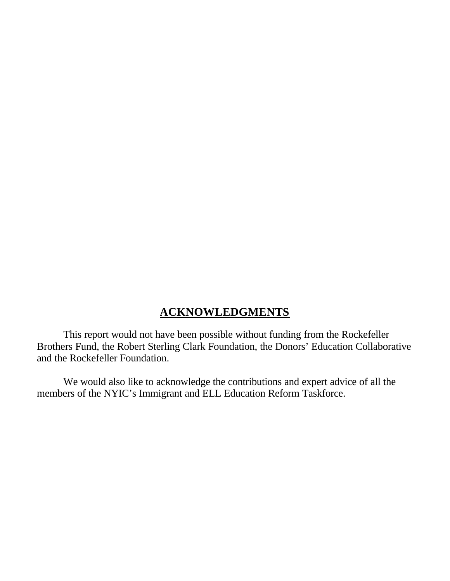## **ACKNOWLEDGMENTS**

This report would not have been possible without funding from the Rockefeller Brothers Fund, the Robert Sterling Clark Foundation, the Donors' Education Collaborative and the Rockefeller Foundation.

We would also like to acknowledge the contributions and expert advice of all the members of the NYIC's Immigrant and ELL Education Reform Taskforce.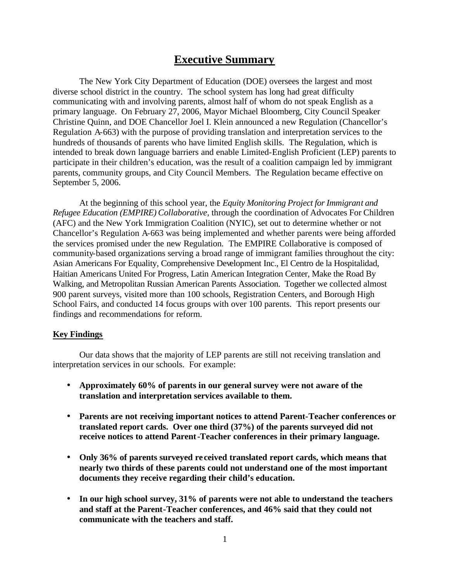## **Executive Summary**

The New York City Department of Education (DOE) oversees the largest and most diverse school district in the country. The school system has long had great difficulty communicating with and involving parents, almost half of whom do not speak English as a primary language. On February 27, 2006, Mayor Michael Bloomberg, City Council Speaker Christine Quinn, and DOE Chancellor Joel I. Klein announced a new Regulation (Chancellor's Regulation A-663) with the purpose of providing translation and interpretation services to the hundreds of thousands of parents who have limited English skills. The Regulation, which is intended to break down language barriers and enable Limited-English Proficient (LEP) parents to participate in their children's education, was the result of a coalition campaign led by immigrant parents, community groups, and City Council Members. The Regulation became effective on September 5, 2006.

At the beginning of this school year, the *Equity Monitoring Project for Immigrant and Refugee Education (EMPIRE) Collaborative,* through the coordination of Advocates For Children (AFC) and the New York Immigration Coalition (NYIC), set out to determine whether or not Chancellor's Regulation A-663 was being implemented and whether parents were being afforded the services promised under the new Regulation. The EMPIRE Collaborative is composed of community-based organizations serving a broad range of immigrant families throughout the city: Asian Americans For Equality, Comprehensive Development Inc., El Centro de la Hospitalidad, Haitian Americans United For Progress, Latin American Integration Center, Make the Road By Walking, and Metropolitan Russian American Parents Association. Together we collected almost 900 parent surveys, visited more than 100 schools, Registration Centers, and Borough High School Fairs, and conducted 14 focus groups with over 100 parents. This report presents our findings and recommendations for reform.

#### **Key Findings**

Our data shows that the majority of LEP parents are still not receiving translation and interpretation services in our schools. For example:

- **Approximately 60% of parents in our general survey were not aware of the translation and interpretation services available to them.**
- **Parents are not receiving important notices to attend Parent-Teacher conferences or translated report cards. Over one third (37%) of the parents surveyed did not receive notices to attend Parent-Teacher conferences in their primary language.**
- **Only 36% of parents surveyed re ceived translated report cards, which means that nearly two thirds of these parents could not understand one of the most important documents they receive regarding their child's education.**
- **In our high school survey, 31% of parents were not able to understand the teachers and staff at the Parent-Teacher conferences, and 46% said that they could not communicate with the teachers and staff.**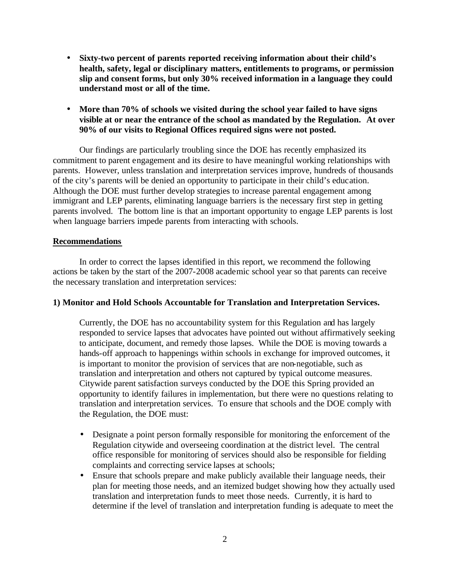- **Sixty-two percent of parents reported receiving information about their child's health, safety, legal or disciplinary matters, entitlements to programs, or permission slip and consent forms, but only 30% received information in a language they could understand most or all of the time.**
- **More than 70% of schools we visited during the school year failed to have signs visible at or near the entrance of the school as mandated by the Regulation. At over 90% of our visits to Regional Offices required signs were not posted.**

Our findings are particularly troubling since the DOE has recently emphasized its commitment to parent engagement and its desire to have meaningful working relationships with parents. However, unless translation and interpretation services improve, hundreds of thousands of the city's parents will be denied an opportunity to participate in their child's education. Although the DOE must further develop strategies to increase parental engagement among immigrant and LEP parents, eliminating language barriers is the necessary first step in getting parents involved. The bottom line is that an important opportunity to engage LEP parents is lost when language barriers impede parents from interacting with schools.

#### **Recommendations**

In order to correct the lapses identified in this report, we recommend the following actions be taken by the start of the 2007-2008 academic school year so that parents can receive the necessary translation and interpretation services:

#### **1) Monitor and Hold Schools Accountable for Translation and Interpretation Services.**

Currently, the DOE has no accountability system for this Regulation and has largely responded to service lapses that advocates have pointed out without affirmatively seeking to anticipate, document, and remedy those lapses. While the DOE is moving towards a hands-off approach to happenings within schools in exchange for improved outcomes, it is important to monitor the provision of services that are non-negotiable, such as translation and interpretation and others not captured by typical outcome measures. Citywide parent satisfaction surveys conducted by the DOE this Spring provided an opportunity to identify failures in implementation, but there were no questions relating to translation and interpretation services. To ensure that schools and the DOE comply with the Regulation, the DOE must:

- Designate a point person formally responsible for monitoring the enforcement of the Regulation citywide and overseeing coordination at the district level. The central office responsible for monitoring of services should also be responsible for fielding complaints and correcting service lapses at schools;
- Ensure that schools prepare and make publicly available their language needs, their plan for meeting those needs, and an itemized budget showing how they actually used translation and interpretation funds to meet those needs. Currently, it is hard to determine if the level of translation and interpretation funding is adequate to meet the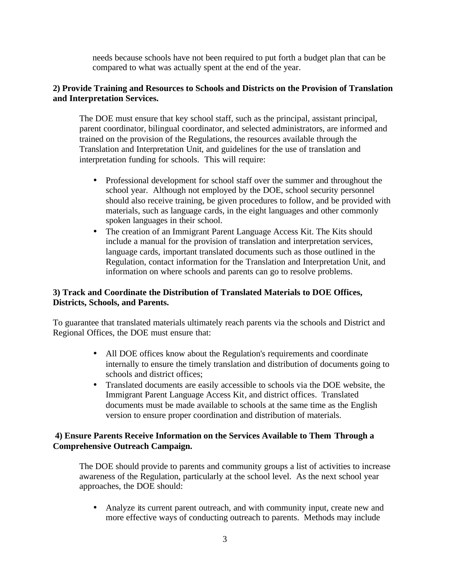needs because schools have not been required to put forth a budget plan that can be compared to what was actually spent at the end of the year.

#### **2) Provide Training and Resources to Schools and Districts on the Provision of Translation and Interpretation Services.**

The DOE must ensure that key school staff, such as the principal, assistant principal, parent coordinator, bilingual coordinator, and selected administrators, are informed and trained on the provision of the Regulations, the resources available through the Translation and Interpretation Unit, and guidelines for the use of translation and interpretation funding for schools. This will require:

- Professional development for school staff over the summer and throughout the school year. Although not employed by the DOE, school security personnel should also receive training, be given procedures to follow, and be provided with materials, such as language cards, in the eight languages and other commonly spoken languages in their school.
- The creation of an Immigrant Parent Language Access Kit. The Kits should include a manual for the provision of translation and interpretation services, language cards, important translated documents such as those outlined in the Regulation, contact information for the Translation and Interpretation Unit, and information on where schools and parents can go to resolve problems.

### **3) Track and Coordinate the Distribution of Translated Materials to DOE Offices, Districts, Schools, and Parents.**

To guarantee that translated materials ultimately reach parents via the schools and District and Regional Offices, the DOE must ensure that:

- All DOE offices know about the Regulation's requirements and coordinate internally to ensure the timely translation and distribution of documents going to schools and district offices;
- Translated documents are easily accessible to schools via the DOE website, the Immigrant Parent Language Access Kit, and district offices. Translated documents must be made available to schools at the same time as the English version to ensure proper coordination and distribution of materials.

### **4) Ensure Parents Receive Information on the Services Available to Them Through a Comprehensive Outreach Campaign.**

The DOE should provide to parents and community groups a list of activities to increase awareness of the Regulation, particularly at the school level. As the next school year approaches, the DOE should:

• Analyze its current parent outreach, and with community input, create new and more effective ways of conducting outreach to parents. Methods may include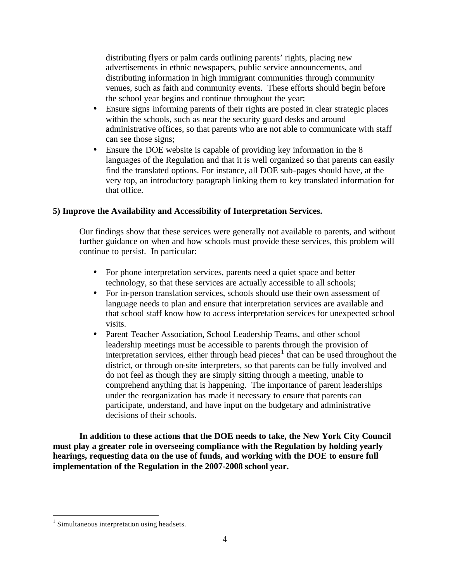distributing flyers or palm cards outlining parents' rights, placing new advertisements in ethnic newspapers, public service announcements, and distributing information in high immigrant communities through community venues, such as faith and community events. These efforts should begin before the school year begins and continue throughout the year;

- Ensure signs informing parents of their rights are posted in clear strategic places within the schools, such as near the security guard desks and around administrative offices, so that parents who are not able to communicate with staff can see those signs;
- Ensure the DOE website is capable of providing key information in the 8 languages of the Regulation and that it is well organized so that parents can easily find the translated options. For instance, all DOE sub-pages should have, at the very top, an introductory paragraph linking them to key translated information for that office.

#### **5) Improve the Availability and Accessibility of Interpretation Services.**

Our findings show that these services were generally not available to parents, and without further guidance on when and how schools must provide these services, this problem will continue to persist. In particular:

- For phone interpretation services, parents need a quiet space and better technology, so that these services are actually accessible to all schools;
- For in-person translation services, schools should use their own assessment of language needs to plan and ensure that interpretation services are available and that school staff know how to access interpretation services for unexpected school visits.
- Parent Teacher Association, School Leadership Teams, and other school leadership meetings must be accessible to parents through the provision of interpretation services, either through head pieces<sup>1</sup> that can be used throughout the district, or through on-site interpreters, so that parents can be fully involved and do not feel as though they are simply sitting through a meeting, unable to comprehend anything that is happening. The importance of parent leaderships under the reorganization has made it necessary to ensure that parents can participate, understand, and have input on the budgetary and administrative decisions of their schools.

**In addition to these actions that the DOE needs to take, the New York City Council must play a greater role in overseeing compliance with the Regulation by holding yearly hearings, requesting data on the use of funds, and working with the DOE to ensure full implementation of the Regulation in the 2007-2008 school year.**

 $\overline{a}$ 

<sup>&</sup>lt;sup>1</sup> Simultaneous interpretation using headsets.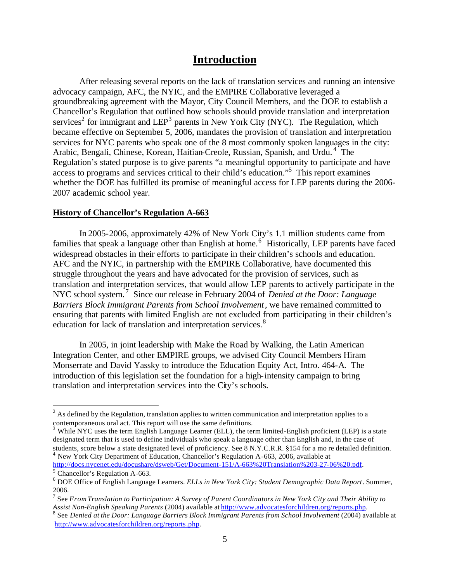## **Introduction**

After releasing several reports on the lack of translation services and running an intensive advocacy campaign, AFC, the NYIC, and the EMPIRE Collaborative leveraged a groundbreaking agreement with the Mayor, City Council Members, and the DOE to establish a Chancellor's Regulation that outlined how schools should provide translation and interpretation services<sup>2</sup> for immigrant and  $LEP<sup>3</sup>$  parents in New York City (NYC). The Regulation, which became effective on September 5, 2006, mandates the provision of translation and interpretation services for NYC parents who speak one of the 8 most commonly spoken languages in the city: Arabic, Bengali, Chinese, Korean, Haitian-Creole, Russian, Spanish, and Urdu.<sup>4</sup> The Regulation's stated purpose is to give parents "a meaningful opportunity to participate and have access to programs and services critical to their child's education."<sup>5</sup> This report examines whether the DOE has fulfilled its promise of meaningful access for LEP parents during the 2006- 2007 academic school year.

#### **History of Chancellor's Regulation A-663**

In 2005-2006, approximately 42% of New York City's 1.1 million students came from families that speak a language other than English at home.<sup>6</sup> Historically, LEP parents have faced widespread obstacles in their efforts to participate in their children's schools and education. AFC and the NYIC, in partnership with the EMPIRE Collaborative, have documented this struggle throughout the years and have advocated for the provision of services, such as translation and interpretation services, that would allow LEP parents to actively participate in the NYC school system. <sup>7</sup> Since our release in February 2004 of *Denied at the Door: Language Barriers Block Immigrant Parents from School Involvement*, we have remained committed to ensuring that parents with limited English are not excluded from participating in their children's education for lack of translation and interpretation services.<sup>8</sup>

In 2005, in joint leadership with Make the Road by Walking, the Latin American Integration Center, and other EMPIRE groups, we advised City Council Members Hiram Monserrate and David Yassky to introduce the Education Equity Act, Intro. 464-A. The introduction of this legislation set the foundation for a high-intensity campaign to bring translation and interpretation services into the City's schools.

<sup>4</sup> New York City Department of Education, Chancellor's Regulation A-663, 2006, available at http://docs.nycenet.edu/docushare/dsweb/Get/Document-151/A-663%20Translation%203-27-06%20.pdf.

 $\overline{a}$ 

 $2^{2}$  As defined by the Regulation, translation applies to written communication and interpretation applies to a contemporaneous oral act. This report will use the same definitions.

 $3$  While NYC uses the term English Language Learner (ELL), the term limited-English proficient (LEP) is a state designated term that is used to define individuals who speak a language other than English and, in the case of students, score below a state designated level of proficiency. See 8 N.Y.C.R.R. §154 for a mo re detailed definition.

<sup>&</sup>lt;sup>5</sup> Chancellor's Regulation A-663.

<sup>6</sup> DOE Office of English Language Learners. *ELLs in New York City: Student Demographic Data Report*. Summer, 2006.

<sup>7</sup> See *FromTranslation to Participation: A Survey of Parent Coordinators in New York City and Their Ability to Assist Non-English Speaking Parents* (2004) available at http://www.advocatesforchildren.org/reports.php.

<sup>8</sup> See *Denied at the Door: Language Barriers Block Immigrant Parents from School Involvement* (2004) available at http://www.advocatesforchildren.org/reports.php.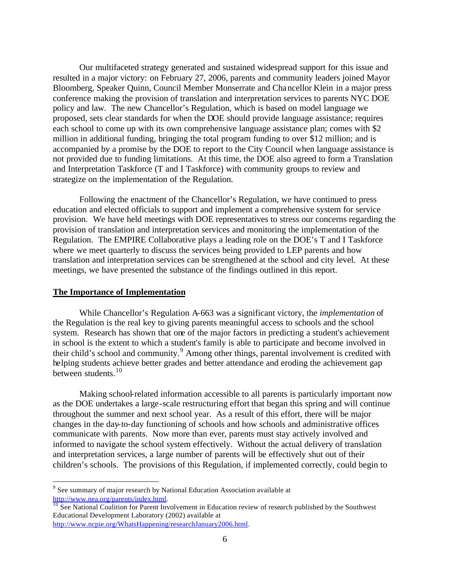Our multifaceted strategy generated and sustained widespread support for this issue and resulted in a major victory: on February 27, 2006, parents and community leaders joined Mayor Bloomberg, Speaker Quinn, Council Member Monserrate and Chancellor Klein in a major press conference making the provision of translation and interpretation services to parents NYC DOE policy and law. The new Chancellor's Regulation, which is based on model language we proposed, sets clear standards for when the DOE should provide language assistance; requires each school to come up with its own comprehensive language assistance plan; comes with \$2 million in additional funding, bringing the total program funding to over \$12 million; and is accompanied by a promise by the DOE to report to the City Council when language assistance is not provided due to funding limitations.At this time, the DOE also agreed to form a Translation and Interpretation Taskforce (T and I Taskforce) with community groups to review and strategize on the implementation of the Regulation.

Following the enactment of the Chancellor's Regulation, we have continued to press education and elected officials to support and implement a comprehensive system for service provision. We have held meetings with DOE representatives to stress our concerns regarding the provision of translation and interpretation services and monitoring the implementation of the Regulation. The EMPIRE Collaborative plays a leading role on the DOE's T and I Taskforce where we meet quarterly to discuss the services being provided to LEP parents and how translation and interpretation services can be strengthened at the school and city level. At these meetings, we have presented the substance of the findings outlined in this report.

#### **The Importance of Implementation**

 $\overline{a}$ 

While Chancellor's Regulation A-663 was a significant victory, the *implementation* of the Regulation is the real key to giving parents meaningful access to schools and the school system. Research has shown that one of the major factors in predicting a student's achievement in school is the extent to which a student's family is able to participate and become involved in their child's school and community.<sup>9</sup> Among other things, parental involvement is credited with helping students achieve better grades and better attendance and eroding the achievement gap between students. $10$ 

Making school-related information accessible to all parents is particularly important now as the DOE undertakes a large-scale restructuring effort that began this spring and will continue throughout the summer and next school year. As a result of this effort, there will be major changes in the day-to-day functioning of schools and how schools and administrative offices communicate with parents. Now more than ever, parents must stay actively involved and informed to navigate the school system effectively. Without the actual delivery of translation and interpretation services, a large number of parents will be effectively shut out of their children's schools. The provisions of this Regulation, if implemented correctly, could begin to

<sup>&</sup>lt;sup>9</sup> See summary of major research by National Education Association available at http://www.nea.org/parents/index.html.

 $\frac{10}{10}$  See National Coalition for Parent Involvement in Education review of research published by the Southwest Educational Development Laboratory (2002) available at http://www.ncpie.org/WhatsHappening/researchJanuary2006.html.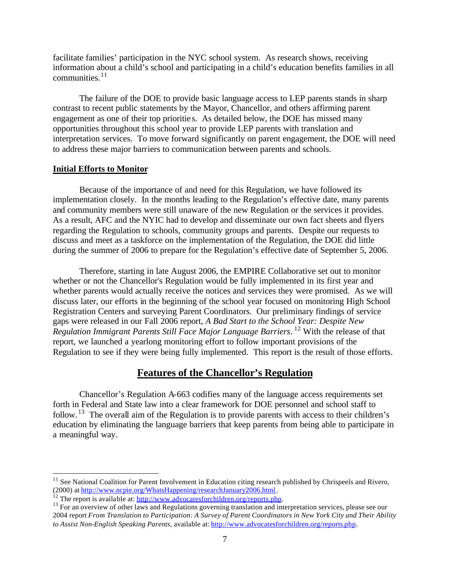facilitate families' participation in the NYC school system. As research shows, receiving information about a child's school and participating in a child's education benefits families in all  $commu$ nities.<sup>11</sup>

The failure of the DOE to provide basic language access to LEP parents stands in sharp contrast to recent public statements by the Mayor, Chancellor, and others affirming parent engagement as one of their top prioritie s. As detailed below, the DOE has missed many opportunities throughout this school year to provide LEP parents with translation and interpretation services. To move forward significantly on parent engagement, the DOE will need to address these major barriers to communication between parents and schools.

#### **Initial Efforts to Monitor**

 $\overline{a}$ 

Because of the importance of and need for this Regulation, we have followed its implementation closely. In the months leading to the Regulation's effective date, many parents and community members were still unaware of the new Regulation or the services it provides. As a result, AFC and the NYIC had to develop and disseminate our own fact sheets and flyers regarding the Regulation to schools, community groups and parents. Despite our requests to discuss and meet as a taskforce on the implementation of the Regulation, the DOE did little during the summer of 2006 to prepare for the Regulation's effective date of September 5, 2006.

Therefore, starting in late August 2006, the EMPIRE Collaborative set out to monitor whether or not the Chancellor's Regulation would be fully implemented in its first year and whether parents would actually receive the notices and services they were promised. As we will discuss later, our efforts in the beginning of the school year focused on monitoring High School Registration Centers and surveying Parent Coordinators. Our preliminary findings of service gaps were released in our Fall 2006 report, *A Bad Start to the School Year: Despite New Regulation Immigrant Parents Still Face Major Language Barriers*. <sup>12</sup> With the release of that report, we launched a yearlong monitoring effort to follow important provisions of the Regulation to see if they were being fully implemented. This report is the result of those efforts.

## **Features of the Chancellor's Regulation**

Chancellor's Regulation A-663 codifies many of the language access requirements set forth in Federal and State law into a clear framework for DOE personnel and school staff to follow. <sup>13</sup> The overall aim of the Regulation is to provide parents with access to their children's education by eliminating the language barriers that keep parents from being able to participate in a meaningful way.

 $11$  See National Coalition for Parent Involvement in Education citing research published by Chrispeels and Rivero, (2000) at http://www.ncpie.org/WhatsHappening/researchJanuary2006.html .

<sup>&</sup>lt;sup>12</sup> The report is available at: http://www.advocatesforchildren.org/reports.php.

<sup>&</sup>lt;sup>13</sup> For an overview of other laws and Regulations governing translation and interpretation services, please see our 2004 report *From Translation to Participation: A Survey of Parent Coordinators in New York City and Their Ability to Assist Non-English Speaking Parents*, available at: http://www.advocatesforchildren.org/reports.php.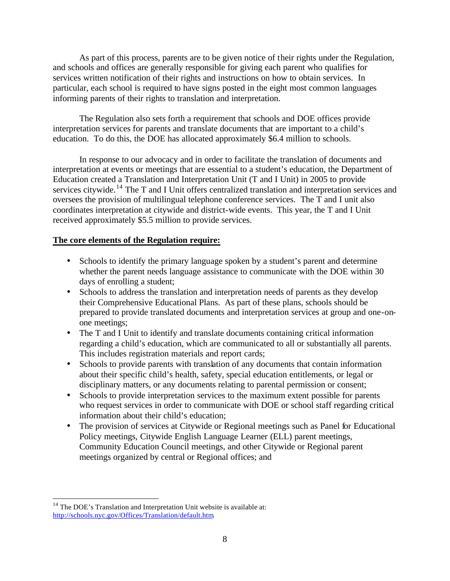As part of this process, parents are to be given notice of their rights under the Regulation, and schools and offices are generally responsible for giving each parent who qualifies for services written notification of their rights and instructions on how to obtain services. In particular, each school is required to have signs posted in the eight most common languages informing parents of their rights to translation and interpretation.

The Regulation also sets forth a requirement that schools and DOE offices provide interpretation services for parents and translate documents that are important to a child's education. To do this, the DOE has allocated approximately \$6.4 million to schools.

In response to our advocacy and in order to facilitate the translation of documents and interpretation at events or meetings that are essential to a student's education, the Department of Education created a Translation and Interpretation Unit (T and I Unit) in 2005 to provide services citywide.<sup>14</sup> The T and I Unit offers centralized translation and interpretation services and oversees the provision of multilingual telephone conference services. The T and I unit also coordinates interpretation at citywide and district-wide events. This year, the T and I Unit received approximately \$5.5 million to provide services.

#### **The core elements of the Regulation require:**

- Schools to identify the primary language spoken by a student's parent and determine whether the parent needs language assistance to communicate with the DOE within 30 days of enrolling a student;
- Schools to address the translation and interpretation needs of parents as they develop their Comprehensive Educational Plans. As part of these plans, schools should be prepared to provide translated documents and interpretation services at group and one-onone meetings;
- The T and I Unit to identify and translate documents containing critical information regarding a child's education, which are communicated to all or substantially all parents. This includes registration materials and report cards;
- Schools to provide parents with translation of any documents that contain information about their specific child's health, safety, special education entitlements, or legal or disciplinary matters, or any documents relating to parental permission or consent;
- Schools to provide interpretation services to the maximum extent possible for parents who request services in order to communicate with DOE or school staff regarding critical information about their child's education;
- The provision of services at Citywide or Regional meetings such as Panel for Educational Policy meetings, Citywide English Language Learner (ELL) parent meetings, Community Education Council meetings, and other Citywide or Regional parent meetings organized by central or Regional offices; and

 $\overline{a}$ <sup>14</sup> The DOE's Translation and Interpretation Unit website is available at: http://schools.nyc.gov/Offices/Translation/default.htm.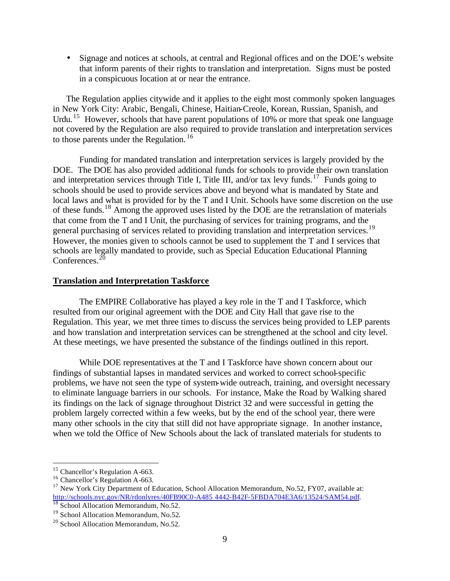• Signage and notices at schools, at central and Regional offices and on the DOE's website that inform parents of their rights to translation and interpretation. Signs must be posted in a conspicuous location at or near the entrance.

The Regulation applies citywide and it applies to the eight most commonly spoken languages in New York City: Arabic, Bengali, Chinese, Haitian-Creole, Korean, Russian, Spanish, and Urdu.<sup>15</sup> However, schools that have parent populations of 10% or more that speak one language not covered by the Regulation are also required to provide translation and interpretation services to those parents under the Regulation.  $16$ 

Funding for mandated translation and interpretation services is largely provided by the DOE. The DOE has also provided additional funds for schools to provide their own translation and interpretation services through Title I, Title III, and/or tax levy funds.<sup>17</sup> Funds going to schools should be used to provide services above and beyond what is mandated by State and local laws and what is provided for by the T and I Unit. Schools have some discretion on the use of these funds.<sup>18</sup> Among the approved uses listed by the DOE are the retranslation of materials that come from the T and I Unit, the purchasing of services for training programs, and the general purchasing of services related to providing translation and interpretation services.<sup>19</sup> However, the monies given to schools cannot be used to supplement the T and I services that schools are legally mandated to provide, such as Special Education Educational Planning Conferences. $^{20}$ 

#### **Translation and Interpretation Taskforce**

The EMPIRE Collaborative has played a key role in the T and I Taskforce, which resulted from our original agreement with the DOE and City Hall that gave rise to the Regulation. This year, we met three times to discuss the services being provided to LEP parents and how translation and interpretation services can be strengthened at the school and city level. At these meetings, we have presented the substance of the findings outlined in this report.

While DOE representatives at the T and I Taskforce have shown concern about our findings of substantial lapses in mandated services and worked to correct school-specific problems, we have not seen the type of system-wide outreach, training, and oversight necessary to eliminate language barriers in our schools. For instance, Make the Road by Walking shared its findings on the lack of signage throughout District 32 and were successful in getting the problem largely corrected within a few weeks, but by the end of the school year, there were many other schools in the city that still did not have appropriate signage. In another instance, when we told the Office of New Schools about the lack of translated materials for students to

 $\overline{a}$ <sup>15</sup> Chancellor's Regulation A-663.

<sup>&</sup>lt;sup>16</sup> Chancellor's Regulation A-663.

<sup>&</sup>lt;sup>17</sup> New York City Department of Education, School Allocation Memorandum, No.52, FY07, available at: http://schools.nyc.gov/NR/rdonlyres/40FB90C0-A485 4442-B42F-5FBDA704E3A6/13524/SAM54.pdf. <sup>18</sup> School Allocation Memorandum, No.52.

<sup>&</sup>lt;sup>19</sup> School Allocation Memorandum, No.52.

<sup>&</sup>lt;sup>20</sup> School Allocation Memorandum, No.52.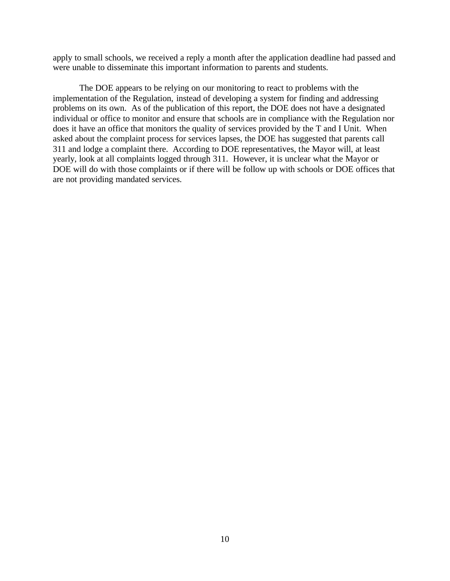apply to small schools, we received a reply a month after the application deadline had passed and were unable to disseminate this important information to parents and students.

The DOE appears to be relying on our monitoring to react to problems with the implementation of the Regulation, instead of developing a system for finding and addressing problems on its own. As of the publication of this report, the DOE does not have a designated individual or office to monitor and ensure that schools are in compliance with the Regulation nor does it have an office that monitors the quality of services provided by the T and I Unit. When asked about the complaint process for services lapses, the DOE has suggested that parents call 311 and lodge a complaint there. According to DOE representatives, the Mayor will, at least yearly, look at all complaints logged through 311. However, it is unclear what the Mayor or DOE will do with those complaints or if there will be follow up with schools or DOE offices that are not providing mandated services.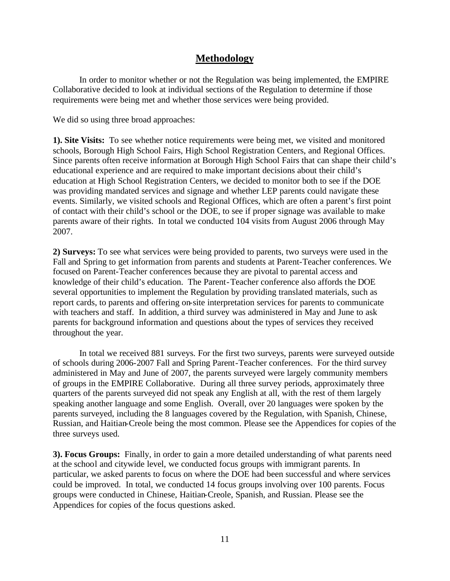## **Methodology**

In order to monitor whether or not the Regulation was being implemented, the EMPIRE Collaborative decided to look at individual sections of the Regulation to determine if those requirements were being met and whether those services were being provided.

We did so using three broad approaches:

**1). Site Visits:** To see whether notice requirements were being met, we visited and monitored schools, Borough High School Fairs, High School Registration Centers, and Regional Offices. Since parents often receive information at Borough High School Fairs that can shape their child's educational experience and are required to make important decisions about their child's education at High School Registration Centers, we decided to monitor both to see if the DOE was providing mandated services and signage and whether LEP parents could navigate these events. Similarly, we visited schools and Regional Offices, which are often a parent's first point of contact with their child's school or the DOE, to see if proper signage was available to make parents aware of their rights. In total we conducted 104 visits from August 2006 through May 2007.

**2) Surveys:** To see what services were being provided to parents, two surveys were used in the Fall and Spring to get information from parents and students at Parent-Teacher conferences. We focused on Parent-Teacher conferences because they are pivotal to parental access and knowledge of their child's education. The Parent-Teacher conference also affords the DOE several opportunities to implement the Regulation by providing translated materials, such as report cards, to parents and offering on-site interpretation services for parents to communicate with teachers and staff. In addition, a third survey was administered in May and June to ask parents for background information and questions about the types of services they received throughout the year.

In total we received 881 surveys. For the first two surveys, parents were surveyed outside of schools during 2006-2007 Fall and Spring Parent-Teacher conferences. For the third survey administered in May and June of 2007, the parents surveyed were largely community members of groups in the EMPIRE Collaborative. During all three survey periods, approximately three quarters of the parents surveyed did not speak any English at all, with the rest of them largely speaking another language and some English. Overall, over 20 languages were spoken by the parents surveyed, including the 8 languages covered by the Regulation, with Spanish, Chinese, Russian, and Haitian-Creole being the most common. Please see the Appendices for copies of the three surveys used.

**3). Focus Groups:** Finally, in order to gain a more detailed understanding of what parents need at the school and citywide level, we conducted focus groups with immigrant parents. In particular, we asked parents to focus on where the DOE had been successful and where services could be improved. In total, we conducted 14 focus groups involving over 100 parents. Focus groups were conducted in Chinese, Haitian-Creole, Spanish, and Russian. Please see the Appendices for copies of the focus questions asked.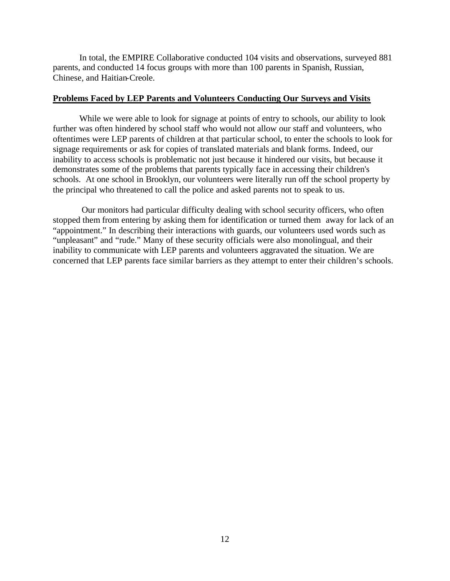In total, the EMPIRE Collaborative conducted 104 visits and observations, surveyed 881 parents, and conducted 14 focus groups with more than 100 parents in Spanish, Russian, Chinese, and Haitian-Creole.

#### **Problems Faced by LEP Parents and Volunteers Conducting Our Surveys and Visits**

While we were able to look for signage at points of entry to schools, our ability to look further was often hindered by school staff who would not allow our staff and volunteers, who oftentimes were LEP parents of children at that particular school, to enter the schools to look for signage requirements or ask for copies of translated materials and blank forms. Indeed, our inability to access schools is problematic not just because it hindered our visits, but because it demonstrates some of the problems that parents typically face in accessing their children's schools. At one school in Brooklyn, our volunteers were literally run off the school property by the principal who threatened to call the police and asked parents not to speak to us.

 Our monitors had particular difficulty dealing with school security officers, who often stopped them from entering by asking them for identification or turned them away for lack of an "appointment." In describing their interactions with guards, our volunteers used words such as "unpleasant" and "rude." Many of these security officials were also monolingual, and their inability to communicate with LEP parents and volunteers aggravated the situation. We are concerned that LEP parents face similar barriers as they attempt to enter their children's schools.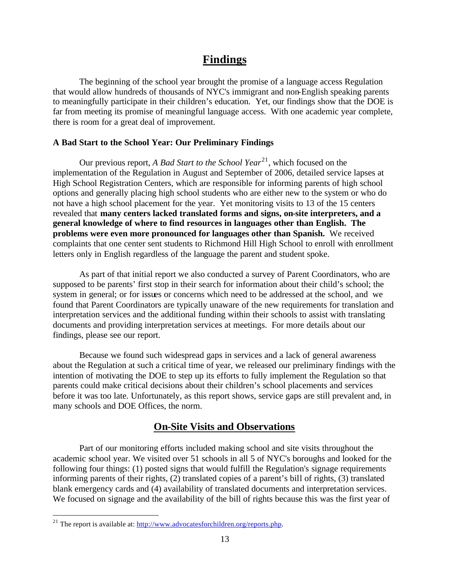## **Findings**

The beginning of the school year brought the promise of a language access Regulation that would allow hundreds of thousands of NYC's immigrant and non-English speaking parents to meaningfully participate in their children's education. Yet, our findings show that the DOE is far from meeting its promise of meaningful language access. With one academic year complete, there is room for a great deal of improvement.

#### **A Bad Start to the School Year: Our Preliminary Findings**

Our previous report, *A Bad Start to the School Year*<sup>21</sup>, which focused on the implementation of the Regulation in August and September of 2006, detailed service lapses at High School Registration Centers, which are responsible for informing parents of high school options and generally placing high school students who are either new to the system or who do not have a high school placement for the year. Yet monitoring visits to 13 of the 15 centers revealed that **many centers lacked translated forms and signs, on-site interpreters, and a general knowledge of where to find resources in languages other than English. The problems were even more pronounced for languages other than Spanish.** We received complaints that one center sent students to Richmond Hill High School to enroll with enrollment letters only in English regardless of the language the parent and student spoke.

As part of that initial report we also conducted a survey of Parent Coordinators, who are supposed to be parents' first stop in their search for information about their child's school; the system in general; or for issues or concerns which need to be addressed at the school, and we found that Parent Coordinators are typically unaware of the new requirements for translation and interpretation services and the additional funding within their schools to assist with translating documents and providing interpretation services at meetings. For more details about our findings, please see our report.

Because we found such widespread gaps in services and a lack of general awareness about the Regulation at such a critical time of year, we released our preliminary findings with the intention of motivating the DOE to step up its efforts to fully implement the Regulation so that parents could make critical decisions about their children's school placements and services before it was too late. Unfortunately, as this report shows, service gaps are still prevalent and, in many schools and DOE Offices, the norm.

## **On-Site Visits and Observations**

Part of our monitoring efforts included making school and site visits throughout the academic school year. We visited over 51 schools in all 5 of NYC's boroughs and looked for the following four things: (1) posted signs that would fulfill the Regulation's signage requirements informing parents of their rights, (2) translated copies of a parent's bill of rights, (3) translated blank emergency cards and (4) availability of translated documents and interpretation services. We focused on signage and the availability of the bill of rights because this was the first year of

 $\overline{a}$ 

<sup>&</sup>lt;sup>21</sup> The report is available at:  $\frac{http://www.advocates for children.org/ reports.php.}{}$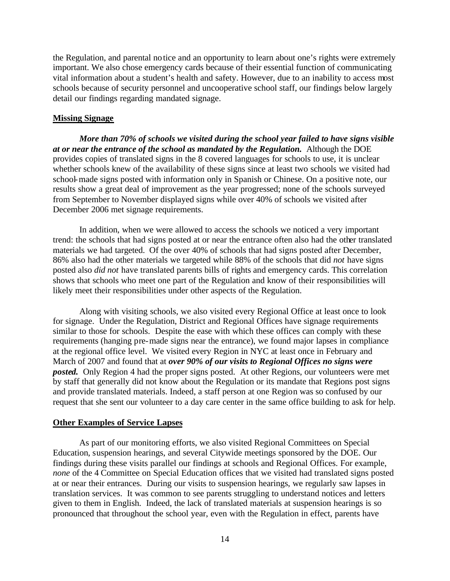the Regulation, and parental notice and an opportunity to learn about one's rights were extremely important. We also chose emergency cards because of their essential function of communicating vital information about a student's health and safety. However, due to an inability to access most schools because of security personnel and uncooperative school staff, our findings below largely detail our findings regarding mandated signage.

#### **Missing Signage**

*More than 70% of schools we visited during the school year failed to have signs visible at or near the entrance of the school as mandated by the Regulation.* Although the DOE provides copies of translated signs in the 8 covered languages for schools to use, it is unclear whether schools knew of the availability of these signs since at least two schools we visited had school-made signs posted with information only in Spanish or Chinese. On a positive note, our results show a great deal of improvement as the year progressed; none of the schools surveyed from September to November displayed signs while over 40% of schools we visited after December 2006 met signage requirements.

In addition, when we were allowed to access the schools we noticed a very important trend: the schools that had signs posted at or near the entrance often also had the other translated materials we had targeted.Of the over 40% of schools that had signs posted after December, 86% also had the other materials we targeted while 88% of the schools that did *not* have signs posted also *did not* have translated parents bills of rights and emergency cards. This correlation shows that schools who meet one part of the Regulation and know of their responsibilities will likely meet their responsibilities under other aspects of the Regulation.

Along with visiting schools, we also visited every Regional Office at least once to look for signage. Under the Regulation, District and Regional Offices have signage requirements similar to those for schools. Despite the ease with which these offices can comply with these requirements (hanging pre-made signs near the entrance), we found major lapses in compliance at the regional office level. We visited every Region in NYC at least once in February and March of 2007 and found that at *over 90% of our visits to Regional Offices no signs were posted.* Only Region 4 had the proper signs posted. At other Regions, our volunteers were met by staff that generally did not know about the Regulation or its mandate that Regions post signs and provide translated materials. Indeed, a staff person at one Region was so confused by our request that she sent our volunteer to a day care center in the same office building to ask for help.

#### **Other Examples of Service Lapses**

As part of our monitoring efforts, we also visited Regional Committees on Special Education, suspension hearings, and several Citywide meetings sponsored by the DOE. Our findings during these visits parallel our findings at schools and Regional Offices. For example, *none* of the 4 Committee on Special Education offices that we visited had translated signs posted at or near their entrances. During our visits to suspension hearings, we regularly saw lapses in translation services. It was common to see parents struggling to understand notices and letters given to them in English. Indeed, the lack of translated materials at suspension hearings is so pronounced that throughout the school year, even with the Regulation in effect, parents have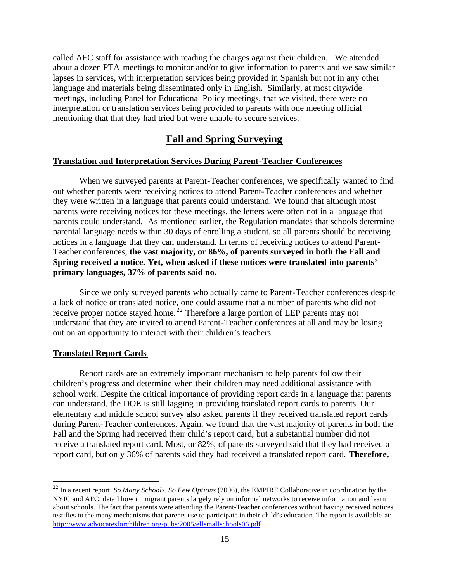called AFC staff for assistance with reading the charges against their children. We attended about a dozen PTA meetings to monitor and/or to give information to parents and we saw similar lapses in services, with interpretation services being provided in Spanish but not in any other language and materials being disseminated only in English. Similarly, at most citywide meetings, including Panel for Educational Policy meetings, that we visited, there were no interpretation or translation services being provided to parents with one meeting official mentioning that that they had tried but were unable to secure services.

## **Fall and Spring Surveying**

#### **Translation and Interpretation Services During Parent-Teacher Conferences**

When we surveyed parents at Parent-Teacher conferences, we specifically wanted to find out whether parents were receiving notices to attend Parent-Teacher conferences and whether they were written in a language that parents could understand. We found that although most parents were receiving notices for these meetings, the letters were often not in a language that parents could understand. As mentioned earlier, the Regulation mandates that schools determine parental language needs within 30 days of enrolling a student, so all parents should be receiving notices in a language that they can understand. In terms of receiving notices to attend Parent-Teacher conferences, **the vast majority, or 86%, of parents surveyed in both the Fall and Spring received a notice. Yet, when asked if these notices were translated into parents' primary languages, 37% of parents said no.**

Since we only surveyed parents who actually came to Parent-Teacher conferences despite a lack of notice or translated notice, one could assume that a number of parents who did not receive proper notice stayed home.<sup>22</sup> Therefore a large portion of LEP parents may not understand that they are invited to attend Parent-Teacher conferences at all and may be losing out on an opportunity to interact with their children's teachers.

#### **Translated Report Cards**

 $\overline{a}$ 

Report cards are an extremely important mechanism to help parents follow their children's progress and determine when their children may need additional assistance with school work. Despite the critical importance of providing report cards in a language that parents can understand, the DOE is still lagging in providing translated report cards to parents. Our elementary and middle school survey also asked parents if they received translated report cards during Parent-Teacher conferences. Again, we found that the vast majority of parents in both the Fall and the Spring had received their child's report card, but a substantial number did not receive a translated report card. Most, or 82%, of parents surveyed said that they had received a report card, but only 36% of parents said they had received a translated report card. **Therefore,** 

<sup>22</sup> In a recent report, *So Many Schools, So Few Options* (2006), the EMPIRE Collaborative in coordination by the NYIC and AFC, detail how immigrant parents largely rely on informal networks to receive information and learn about schools. The fact that parents were attending the Parent-Teacher conferences without having received notices testifies to the many mechanisms that parents use to participate in their child's education. The report is available at: http://www.advocatesforchildren.org/pubs/2005/ellsmallschools06.pdf.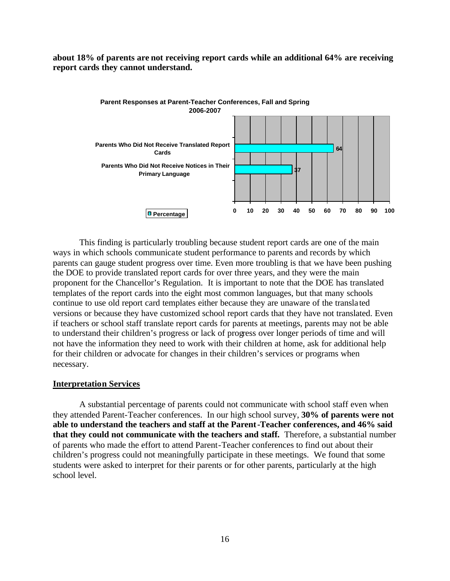**about 18% of parents are not receiving report cards while an additional 64% are receiving report cards they cannot understand.**



This finding is particularly troubling because student report cards are one of the main ways in which schools communicate student performance to parents and records by which parents can gauge student progress over time. Even more troubling is that we have been pushing the DOE to provide translated report cards for over three years, and they were the main proponent for the Chancellor's Regulation. It is important to note that the DOE has translated templates of the report cards into the eight most common languages, but that many schools continue to use old report card templates either because they are unaware of the transla ted versions or because they have customized school report cards that they have not translated. Even if teachers or school staff translate report cards for parents at meetings, parents may not be able to understand their children's progress or lack of progress over longer periods of time and will not have the information they need to work with their children at home, ask for additional help for their children or advocate for changes in their children's services or programs when necessary.

#### **Interpretation Services**

A substantial percentage of parents could not communicate with school staff even when they attended Parent-Teacher conferences. In our high school survey, **30% of parents were not able to understand the teachers and staff at the Parent-Teacher conferences, and 46% said that they could not communicate with the teachers and staff.** Therefore, a substantial number of parents who made the effort to attend Parent-Teacher conferences to find out about their children's progress could not meaningfully participate in these meetings. We found that some students were asked to interpret for their parents or for other parents, particularly at the high school level.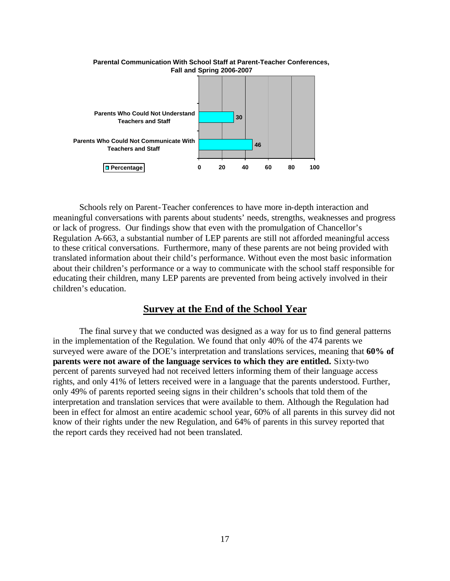

Schools rely on Parent-Teacher conferences to have more in-depth interaction and meaningful conversations with parents about students' needs, strengths, weaknesses and progress or lack of progress. Our findings show that even with the promulgation of Chancellor's Regulation A-663, a substantial number of LEP parents are still not afforded meaningful access to these critical conversations. Furthermore, many of these parents are not being provided with translated information about their child's performance. Without even the most basic information about their children's performance or a way to communicate with the school staff responsible for educating their children, many LEP parents are prevented from being actively involved in their children's education.

#### **Survey at the End of the School Year**

The final survey that we conducted was designed as a way for us to find general patterns in the implementation of the Regulation. We found that only 40% of the 474 parents we surveyed were aware of the DOE's interpretation and translations services, meaning that **60% of parents were not aware of the language services to which they are entitled.** Sixty-two percent of parents surveyed had not received letters informing them of their language access rights, and only 41% of letters received were in a language that the parents understood. Further, only 49% of parents reported seeing signs in their children's schools that told them of the interpretation and translation services that were available to them. Although the Regulation had been in effect for almost an entire academic school year, 60% of all parents in this survey did not know of their rights under the new Regulation, and 64% of parents in this survey reported that the report cards they received had not been translated.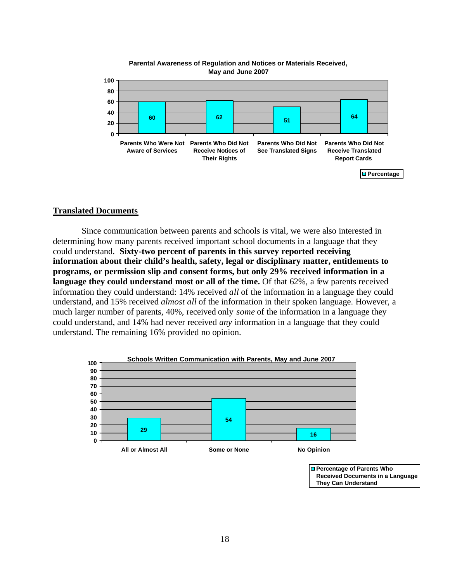

## **Parental Awareness of Regulation and Notices or Materials Received,**

#### **Translated Documents**

 Since communication between parents and schools is vital, we were also interested in determining how many parents received important school documents in a language that they could understand. **Sixty-two percent of parents in this survey reported receiving information about their child's health, safety, legal or disciplinary matter, entitlements to programs, or permission slip and consent forms, but only 29% received information in a**  language they could understand most or all of the time. Of that 62%, a few parents received information they could understand: 14% received *all* of the information in a language they could understand, and 15% received *almost all* of the information in their spoken language. However, a much larger number of parents, 40%, received only *some* of the information in a language they could understand, and 14% had never received *any* information in a language that they could understand. The remaining 16% provided no opinion.



**Percentage of Parents Who Received Documents in a Language They Can Understand**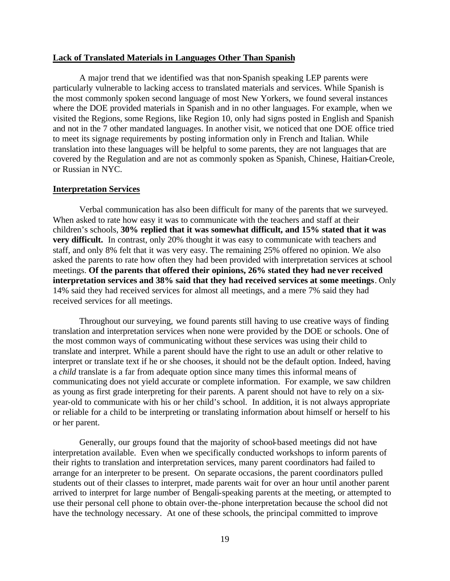#### **Lack of Translated Materials in Languages Other Than Spanish**

A major trend that we identified was that non-Spanish speaking LEP parents were particularly vulnerable to lacking access to translated materials and services. While Spanish is the most commonly spoken second language of most New Yorkers, we found several instances where the DOE provided materials in Spanish and in no other languages. For example, when we visited the Regions, some Regions, like Region 10, only had signs posted in English and Spanish and not in the 7 other mandated languages. In another visit, we noticed that one DOE office tried to meet its signage requirements by posting information only in French and Italian. While translation into these languages will be helpful to some parents, they are not languages that are covered by the Regulation and are not as commonly spoken as Spanish, Chinese, Haitian-Creole, or Russian in NYC.

#### **Interpretation Services**

Verbal communication has also been difficult for many of the parents that we surveyed. When asked to rate how easy it was to communicate with the teachers and staff at their children's schools, **30% replied that it was somewhat difficult, and 15% stated that it was very difficult.** In contrast, only 20% thought it was easy to communicate with teachers and staff, and only 8% felt that it was very easy. The remaining 25% offered no opinion. We also asked the parents to rate how often they had been provided with interpretation services at school meetings. **Of the parents that offered their opinions, 26% stated they had never received interpretation services and 38% said that they had received services at some meetings**. Only 14% said they had received services for almost all meetings, and a mere 7% said they had received services for all meetings.

Throughout our surveying, we found parents still having to use creative ways of finding translation and interpretation services when none were provided by the DOE or schools. One of the most common ways of communicating without these services was using their child to translate and interpret. While a parent should have the right to use an adult or other relative to interpret or translate text if he or she chooses, it should not be the default option. Indeed, having a *child* translate is a far from adequate option since many times this informal means of communicating does not yield accurate or complete information. For example, we saw children as young as first grade interpreting for their parents. A parent should not have to rely on a sixyear-old to communicate with his or her child's school. In addition, it is not always appropriate or reliable for a child to be interpreting or translating information about himself or herself to his or her parent.

Generally, our groups found that the majority of school-based meetings did not have interpretation available. Even when we specifically conducted workshops to inform parents of their rights to translation and interpretation services, many parent coordinators had failed to arrange for an interpreter to be present. On separate occasions, the parent coordinators pulled students out of their classes to interpret, made parents wait for over an hour until another parent arrived to interpret for large number of Bengali-speaking parents at the meeting, or attempted to use their personal cell phone to obtain over-the-phone interpretation because the school did not have the technology necessary. At one of these schools, the principal committed to improve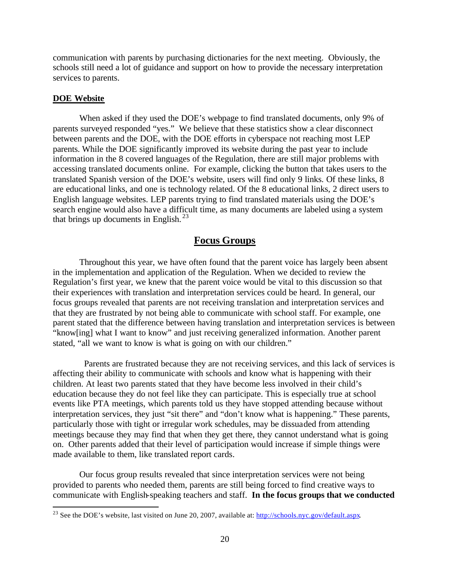communication with parents by purchasing dictionaries for the next meeting. Obviously, the schools still need a lot of guidance and support on how to provide the necessary interpretation services to parents.

#### **DOE Website**

 $\overline{a}$ 

When asked if they used the DOE's webpage to find translated documents, only 9% of parents surveyed responded "yes." We believe that these statistics show a clear disconnect between parents and the DOE, with the DOE efforts in cyberspace not reaching most LEP parents. While the DOE significantly improved its website during the past year to include information in the 8 covered languages of the Regulation, there are still major problems with accessing translated documents online. For example, clicking the button that takes users to the translated Spanish version of the DOE's website, users will find only 9 links. Of these links, 8 are educational links, and one is technology related. Of the 8 educational links, 2 direct users to English language websites. LEP parents trying to find translated materials using the DOE's search engine would also have a difficult time, as many documents are labeled using a system that brings up documents in English.  $2^3$ 

## **Focus Groups**

Throughout this year, we have often found that the parent voice has largely been absent in the implementation and application of the Regulation. When we decided to review the Regulation's first year, we knew that the parent voice would be vital to this discussion so that their experiences with translation and interpretation services could be heard. In general, our focus groups revealed that parents are not receiving translation and interpretation services and that they are frustrated by not being able to communicate with school staff. For example, one parent stated that the difference between having translation and interpretation services is between "know[ing] what I want to know" and just receiving generalized information. Another parent stated, "all we want to know is what is going on with our children."

 Parents are frustrated because they are not receiving services, and this lack of services is affecting their ability to communicate with schools and know what is happening with their children. At least two parents stated that they have become less involved in their child's education because they do not feel like they can participate. This is especially true at school events like PTA meetings, which parents told us they have stopped attending because without interpretation services, they just "sit there" and "don't know what is happening." These parents, particularly those with tight or irregular work schedules, may be dissuaded from attending meetings because they may find that when they get there, they cannot understand what is going on. Other parents added that their level of participation would increase if simple things were made available to them, like translated report cards.

Our focus group results revealed that since interpretation services were not being provided to parents who needed them, parents are still being forced to find creative ways to communicate with English-speaking teachers and staff. **In the focus groups that we conducted** 

<sup>&</sup>lt;sup>23</sup> See the DOE's website, last visited on June 20, 2007, available at: http://schools.nyc.gov/default.aspx.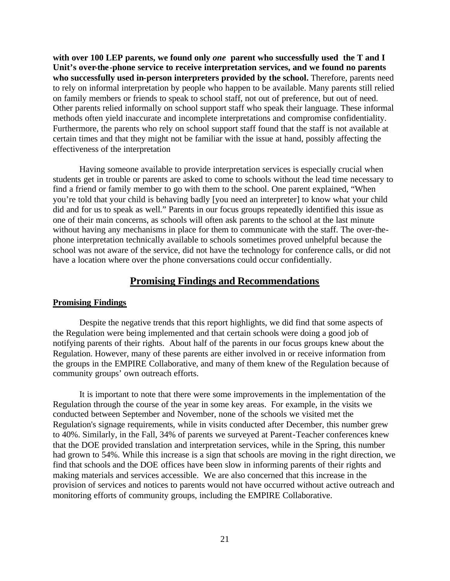**with over 100 LEP parents, we found only** *one* **parent who successfully used the T and I Unit's over-the-phone service to receive interpretation services, and we found no parents**  who successfully used in-person interpreters provided by the school. Therefore, parents need to rely on informal interpretation by people who happen to be available. Many parents still relied on family members or friends to speak to school staff, not out of preference, but out of need. Other parents relied informally on school support staff who speak their language. These informal methods often yield inaccurate and incomplete interpretations and compromise confidentiality. Furthermore, the parents who rely on school support staff found that the staff is not available at certain times and that they might not be familiar with the issue at hand, possibly affecting the effectiveness of the interpretation

Having someone available to provide interpretation services is especially crucial when students get in trouble or parents are asked to come to schools without the lead time necessary to find a friend or family member to go with them to the school. One parent explained, "When you're told that your child is behaving badly [you need an interpreter] to know what your child did and for us to speak as well." Parents in our focus groups repeatedly identified this issue as one of their main concerns, as schools will often ask parents to the school at the last minute without having any mechanisms in place for them to communicate with the staff. The over-thephone interpretation technically available to schools sometimes proved unhelpful because the school was not aware of the service, did not have the technology for conference calls, or did not have a location where over the phone conversations could occur confidentially.

#### **Promising Findings and Recommendations**

#### **Promising Findings**

Despite the negative trends that this report highlights, we did find that some aspects of the Regulation were being implemented and that certain schools were doing a good job of notifying parents of their rights. About half of the parents in our focus groups knew about the Regulation. However, many of these parents are either involved in or receive information from the groups in the EMPIRE Collaborative, and many of them knew of the Regulation because of community groups' own outreach efforts.

It is important to note that there were some improvements in the implementation of the Regulation through the course of the year in some key areas. For example, in the visits we conducted between September and November, none of the schools we visited met the Regulation's signage requirements, while in visits conducted after December, this number grew to 40%. Similarly, in the Fall, 34% of parents we surveyed at Parent-Teacher conferences knew that the DOE provided translation and interpretation services, while in the Spring, this number had grown to 54%. While this increase is a sign that schools are moving in the right direction, we find that schools and the DOE offices have been slow in informing parents of their rights and making materials and services accessible. We are also concerned that this increase in the provision of services and notices to parents would not have occurred without active outreach and monitoring efforts of community groups, including the EMPIRE Collaborative.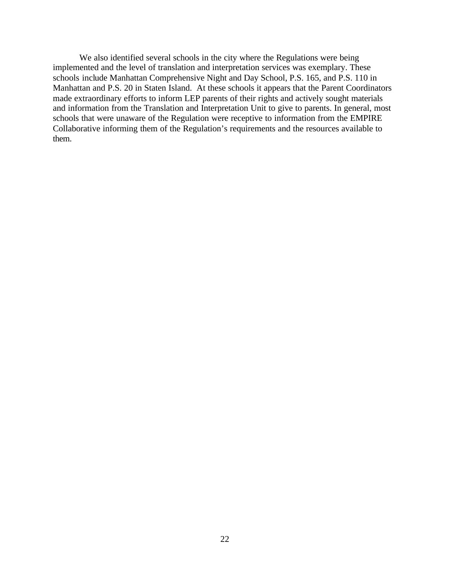We also identified several schools in the city where the Regulations were being implemented and the level of translation and interpretation services was exemplary. These schools include Manhattan Comprehensive Night and Day School, P.S. 165, and P.S. 110 in Manhattan and P.S. 20 in Staten Island. At these schools it appears that the Parent Coordinators made extraordinary efforts to inform LEP parents of their rights and actively sought materials and information from the Translation and Interpretation Unit to give to parents. In general, most schools that were unaware of the Regulation were receptive to information from the EMPIRE Collaborative informing them of the Regulation's requirements and the resources available to them.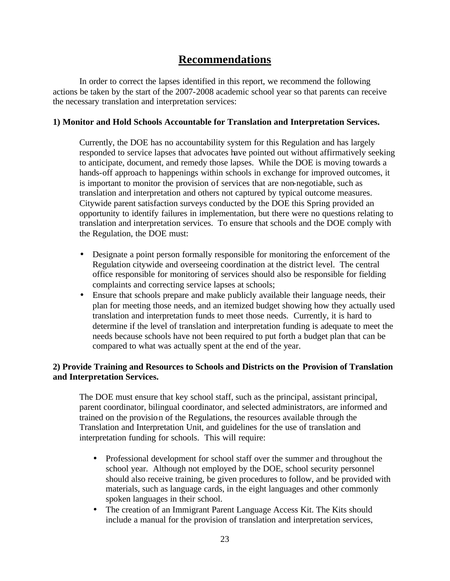## **Recommendations**

In order to correct the lapses identified in this report, we recommend the following actions be taken by the start of the 2007-2008 academic school year so that parents can receive the necessary translation and interpretation services:

#### **1) Monitor and Hold Schools Accountable for Translation and Interpretation Services.**

Currently, the DOE has no accountability system for this Regulation and has largely responded to service lapses that advocates have pointed out without affirmatively seeking to anticipate, document, and remedy those lapses. While the DOE is moving towards a hands-off approach to happenings within schools in exchange for improved outcomes, it is important to monitor the provision of services that are non-negotiable, such as translation and interpretation and others not captured by typical outcome measures. Citywide parent satisfaction surveys conducted by the DOE this Spring provided an opportunity to identify failures in implementation, but there were no questions relating to translation and interpretation services. To ensure that schools and the DOE comply with the Regulation, the DOE must:

- Designate a point person formally responsible for monitoring the enforcement of the Regulation citywide and overseeing coordination at the district level. The central office responsible for monitoring of services should also be responsible for fielding complaints and correcting service lapses at schools;
- Ensure that schools prepare and make publicly available their language needs, their plan for meeting those needs, and an itemized budget showing how they actually used translation and interpretation funds to meet those needs. Currently, it is hard to determine if the level of translation and interpretation funding is adequate to meet the needs because schools have not been required to put forth a budget plan that can be compared to what was actually spent at the end of the year.

#### **2) Provide Training and Resources to Schools and Districts on the Provision of Translation and Interpretation Services.**

The DOE must ensure that key school staff, such as the principal, assistant principal, parent coordinator, bilingual coordinator, and selected administrators, are informed and trained on the provision of the Regulations, the resources available through the Translation and Interpretation Unit, and guidelines for the use of translation and interpretation funding for schools. This will require:

- Professional development for school staff over the summer and throughout the school year. Although not employed by the DOE, school security personnel should also receive training, be given procedures to follow, and be provided with materials, such as language cards, in the eight languages and other commonly spoken languages in their school.
- The creation of an Immigrant Parent Language Access Kit. The Kits should include a manual for the provision of translation and interpretation services,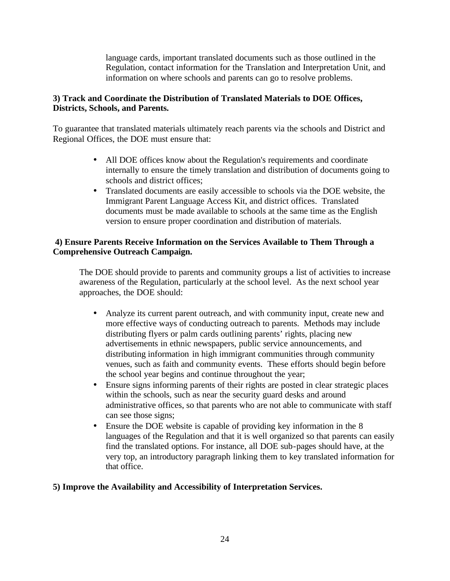language cards, important translated documents such as those outlined in the Regulation, contact information for the Translation and Interpretation Unit, and information on where schools and parents can go to resolve problems.

#### **3) Track and Coordinate the Distribution of Translated Materials to DOE Offices, Districts, Schools, and Parents.**

To guarantee that translated materials ultimately reach parents via the schools and District and Regional Offices, the DOE must ensure that:

- All DOE offices know about the Regulation's requirements and coordinate internally to ensure the timely translation and distribution of documents going to schools and district offices;
- Translated documents are easily accessible to schools via the DOE website, the Immigrant Parent Language Access Kit, and district offices. Translated documents must be made available to schools at the same time as the English version to ensure proper coordination and distribution of materials.

#### **4) Ensure Parents Receive Information on the Services Available to Them Through a Comprehensive Outreach Campaign.**

The DOE should provide to parents and community groups a list of activities to increase awareness of the Regulation, particularly at the school level. As the next school year approaches, the DOE should:

- Analyze its current parent outreach, and with community input, create new and more effective ways of conducting outreach to parents. Methods may include distributing flyers or palm cards outlining parents' rights, placing new advertisements in ethnic newspapers, public service announcements, and distributing information in high immigrant communities through community venues, such as faith and community events. These efforts should begin before the school year begins and continue throughout the year;
- Ensure signs informing parents of their rights are posted in clear strategic places within the schools, such as near the security guard desks and around administrative offices, so that parents who are not able to communicate with staff can see those signs;
- Ensure the DOE website is capable of providing key information in the 8 languages of the Regulation and that it is well organized so that parents can easily find the translated options. For instance, all DOE sub-pages should have, at the very top, an introductory paragraph linking them to key translated information for that office.

### **5) Improve the Availability and Accessibility of Interpretation Services.**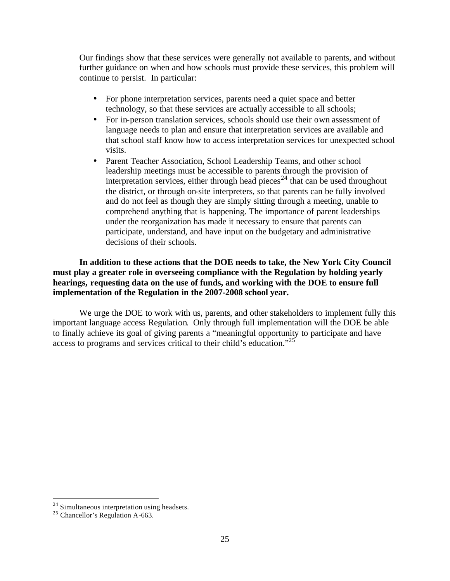Our findings show that these services were generally not available to parents, and without further guidance on when and how schools must provide these services, this problem will continue to persist. In particular:

- For phone interpretation services, parents need a quiet space and better technology, so that these services are actually accessible to all schools;
- For in-person translation services, schools should use their own assessment of language needs to plan and ensure that interpretation services are available and that school staff know how to access interpretation services for unexpected school visits.
- Parent Teacher Association, School Leadership Teams, and other school leadership meetings must be accessible to parents through the provision of interpretation services, either through head pieces<sup>24</sup> that can be used throughout the district, or through on-site interpreters, so that parents can be fully involved and do not feel as though they are simply sitting through a meeting, unable to comprehend anything that is happening. The importance of parent leaderships under the reorganization has made it necessary to ensure that parents can participate, understand, and have input on the budgetary and administrative decisions of their schools.

**In addition to these actions that the DOE needs to take, the New York City Council must play a greater role in overseeing compliance with the Regulation by holding yearly hearings, requesting data on the use of funds, and working with the DOE to ensure full implementation of the Regulation in the 2007-2008 school year.**

We urge the DOE to work with us, parents, and other stakeholders to implement fully this important language access Regulation. Only through full implementation will the DOE be able to finally achieve its goal of giving parents a "meaningful opportunity to participate and have access to programs and services critical to their child's education."<sup>25</sup>

 $\overline{a}$ 

 $2<sup>24</sup>$  Simultaneous interpretation using headsets.

 $25$  Chancellor's Regulation A-663.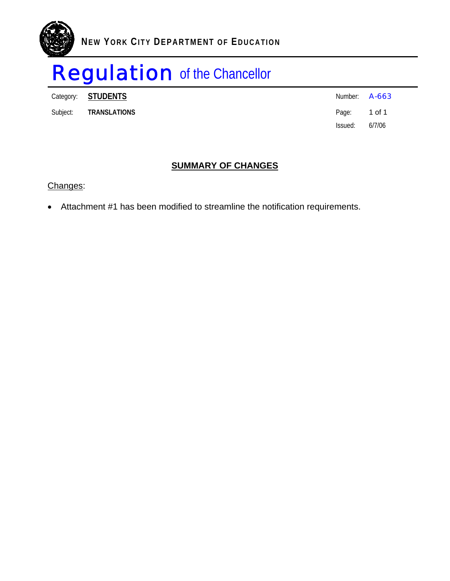

Category: **STUDENTS** Number: **A-663** 

Subject: **TRANSLATIONS Page:** 1 of 1

Issued: 6/7/06

## **SUMMARY OF CHANGES**

Changes:

• Attachment #1 has been modified to streamline the notification requirements.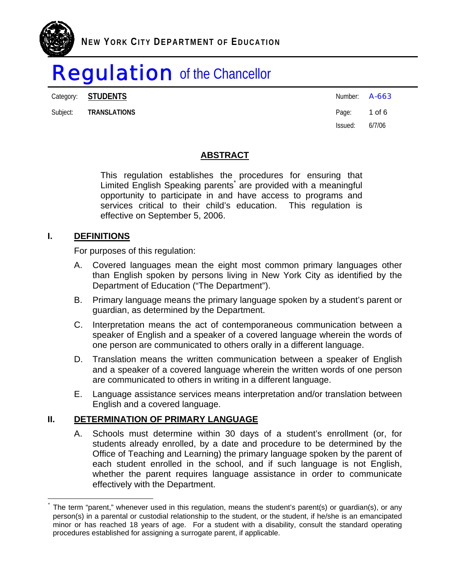Category: **STUDENTS A-663** 

Subject: **TRANSLATIONS Page: 1 of 6** 

Issued: 6/7/06

## **ABSTRACT**

This regulation establishes the procedures for ensuring that Limited English Speaking parents<sup>\*</sup> are provided with a meaningful opportunity to participate in and have access to programs and services critical to their child's education. This regulation is effective on September 5, 2006.

### **I. DEFINITIONS**

i<br>Li

For purposes of this regulation:

- A. Covered languages mean the eight most common primary languages other than English spoken by persons living in New York City as identified by the Department of Education ("The Department").
- B. Primary language means the primary language spoken by a student's parent or guardian, as determined by the Department.
- C. Interpretation means the act of contemporaneous communication between a speaker of English and a speaker of a covered language wherein the words of one person are communicated to others orally in a different language.
- D. Translation means the written communication between a speaker of English and a speaker of a covered language wherein the written words of one person are communicated to others in writing in a different language.
- E. Language assistance services means interpretation and/or translation between English and a covered language.

### **II. DETERMINATION OF PRIMARY LANGUAGE**

A. Schools must determine within 30 days of a student's enrollment (or, for students already enrolled, by a date and procedure to be determined by the Office of Teaching and Learning) the primary language spoken by the parent of each student enrolled in the school, and if such language is not English, whether the parent requires language assistance in order to communicate effectively with the Department.

<sup>\*</sup> The term "parent," whenever used in this regulation, means the student's parent(s) or guardian(s), or any person(s) in a parental or custodial relationship to the student, or the student, if he/she is an emancipated minor or has reached 18 years of age. For a student with a disability, consult the standard operating procedures established for assigning a surrogate parent, if applicable.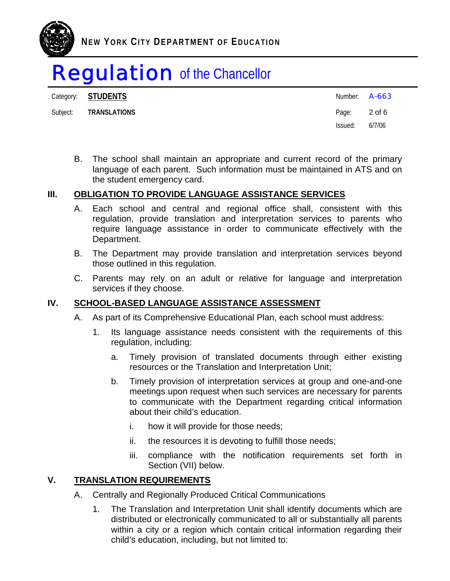

Category: **STUDENTS** Number: **A-663** 

Subject: **TRANSLATIONS** 2 of 6

Issued: 6/7/06

B. The school shall maintain an appropriate and current record of the primary language of each parent. Such information must be maintained in ATS and on the student emergency card.

## **III. OBLIGATION TO PROVIDE LANGUAGE ASSISTANCE SERVICES**

- A. Each school and central and regional office shall, consistent with this regulation, provide translation and interpretation services to parents who require language assistance in order to communicate effectively with the Department.
- B. The Department may provide translation and interpretation services beyond those outlined in this regulation.
- C. Parents may rely on an adult or relative for language and interpretation services if they choose.

## **IV. SCHOOL-BASED LANGUAGE ASSISTANCE ASSESSMENT**

- A. As part of its Comprehensive Educational Plan, each school must address:
	- 1. Its language assistance needs consistent with the requirements of this regulation, including:
		- a. Timely provision of translated documents through either existing resources or the Translation and Interpretation Unit;
		- b. Timely provision of interpretation services at group and one-and-one meetings upon request when such services are necessary for parents to communicate with the Department regarding critical information about their child's education.
			- i. how it will provide for those needs;
			- ii. the resources it is devoting to fulfill those needs;
			- iii. compliance with the notification requirements set forth in Section (VII) below.

## **V. TRANSLATION REQUIREMENTS**

- A. Centrally and Regionally Produced Critical Communications
	- 1. The Translation and Interpretation Unit shall identify documents which are distributed or electronically communicated to all or substantially all parents within a city or a region which contain critical information regarding their child's education, including, but not limited to: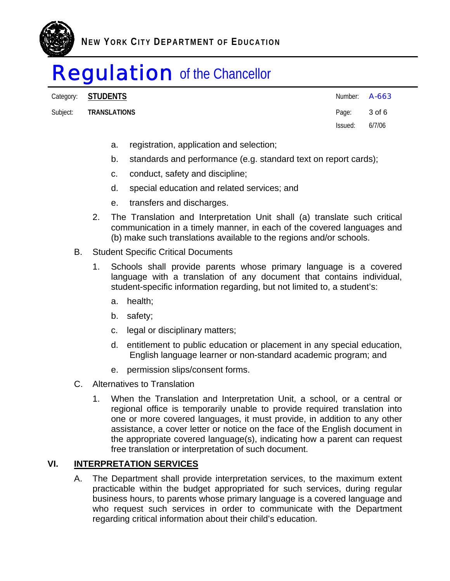

Category: **STUDENTS** Number: **A-663** 

Subject: **TRANSLATIONS Page: 3 of 6** 

Issued: 6/7/06

- a. registration, application and selection;
- b. standards and performance (e.g. standard text on report cards);
- c. conduct, safety and discipline;
- d. special education and related services; and
- e. transfers and discharges.
- 2. The Translation and Interpretation Unit shall (a) translate such critical communication in a timely manner, in each of the covered languages and (b) make such translations available to the regions and/or schools.
- B. Student Specific Critical Documents
	- 1. Schools shall provide parents whose primary language is a covered language with a translation of any document that contains individual, student-specific information regarding, but not limited to, a student's:
		- a. health;
		- b. safety;
		- c. legal or disciplinary matters;
		- d. entitlement to public education or placement in any special education, English language learner or non-standard academic program; and
		- e. permission slips/consent forms.
- C. Alternatives to Translation
	- 1. When the Translation and Interpretation Unit, a school, or a central or regional office is temporarily unable to provide required translation into one or more covered languages, it must provide, in addition to any other assistance, a cover letter or notice on the face of the English document in the appropriate covered language(s), indicating how a parent can request free translation or interpretation of such document.

## **VI. INTERPRETATION SERVICES**

A. The Department shall provide interpretation services, to the maximum extent practicable within the budget appropriated for such services, during regular business hours, to parents whose primary language is a covered language and who request such services in order to communicate with the Department regarding critical information about their child's education.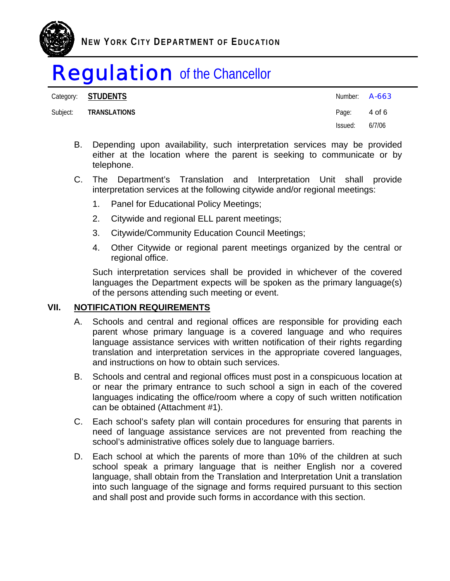

Category: **STUDENTS** 

| Category: SIUDENIS    | Number: <b>A-663</b> |        |
|-----------------------|----------------------|--------|
| Subject: TRANSLATIONS | Page: 4 of 6         |        |
|                       | Issued:              | 6/7/06 |

- B. Depending upon availability, such interpretation services may be provided either at the location where the parent is seeking to communicate or by telephone.
- C. The Department's Translation and Interpretation Unit shall provide interpretation services at the following citywide and/or regional meetings:
	- 1. Panel for Educational Policy Meetings;
	- 2. Citywide and regional ELL parent meetings;
	- 3. Citywide/Community Education Council Meetings;
	- 4. Other Citywide or regional parent meetings organized by the central or regional office.

Such interpretation services shall be provided in whichever of the covered languages the Department expects will be spoken as the primary language(s) of the persons attending such meeting or event.

### **VII. NOTIFICATION REQUIREMENTS**

- A. Schools and central and regional offices are responsible for providing each parent whose primary language is a covered language and who requires language assistance services with written notification of their rights regarding translation and interpretation services in the appropriate covered languages, and instructions on how to obtain such services.
- B. Schools and central and regional offices must post in a conspicuous location at or near the primary entrance to such school a sign in each of the covered languages indicating the office/room where a copy of such written notification can be obtained (Attachment #1).
- C. Each school's safety plan will contain procedures for ensuring that parents in need of language assistance services are not prevented from reaching the school's administrative offices solely due to language barriers.
- D. Each school at which the parents of more than 10% of the children at such school speak a primary language that is neither English nor a covered language, shall obtain from the Translation and Interpretation Unit a translation into such language of the signage and forms required pursuant to this section and shall post and provide such forms in accordance with this section.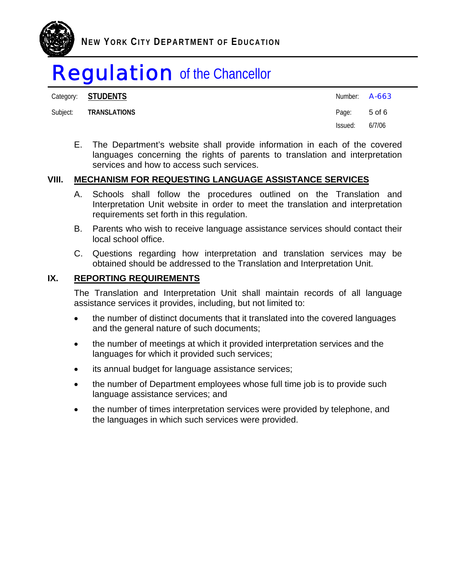

Category: **STUDENTS** 

#### Subject: **TRANSLATIONS**

| Category: <b>STUDENTS</b> | Number: <b>A-663</b> |        |
|---------------------------|----------------------|--------|
| Subject: TRANSLATIONS     | Page: 5 of 6         |        |
|                           | Issued:              | 6/7/06 |

E. The Department's website shall provide information in each of the covered languages concerning the rights of parents to translation and interpretation services and how to access such services.

## **VIII. MECHANISM FOR REQUESTING LANGUAGE ASSISTANCE SERVICES**

- A. Schools shall follow the procedures outlined on the Translation and Interpretation Unit website in order to meet the translation and interpretation requirements set forth in this regulation.
- B. Parents who wish to receive language assistance services should contact their local school office.
- C. Questions regarding how interpretation and translation services may be obtained should be addressed to the Translation and Interpretation Unit.

## **IX. REPORTING REQUIREMENTS**

The Translation and Interpretation Unit shall maintain records of all language assistance services it provides, including, but not limited to:

- the number of distinct documents that it translated into the covered languages and the general nature of such documents;
- the number of meetings at which it provided interpretation services and the languages for which it provided such services;
- its annual budget for language assistance services;
- the number of Department employees whose full time job is to provide such language assistance services; and
- the number of times interpretation services were provided by telephone, and the languages in which such services were provided.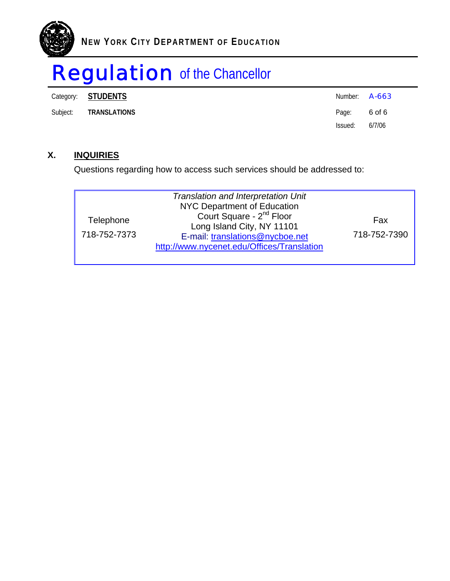

Category: **STUDENTS** 

| Category: <b>STUDENTS</b> | Number: <b>A-663</b> |        |
|---------------------------|----------------------|--------|
| Subject: TRANSLATIONS     | Page: 6 of 6         |        |
|                           | Issued:              | 6/7/06 |

## **X. INQUIRIES**

Questions regarding how to access such services should be addressed to:

| Telephone<br>718-752-7373 | <b>Translation and Interpretation Unit</b><br><b>NYC Department of Education</b><br>Court Square - 2 <sup>nd</sup> Floor<br>Long Island City, NY 11101<br>E-mail: translations@nycboe.net<br>http://www.nycenet.edu/Offices/Translation | Fax<br>718-752-7390 |
|---------------------------|-----------------------------------------------------------------------------------------------------------------------------------------------------------------------------------------------------------------------------------------|---------------------|
|---------------------------|-----------------------------------------------------------------------------------------------------------------------------------------------------------------------------------------------------------------------------------------|---------------------|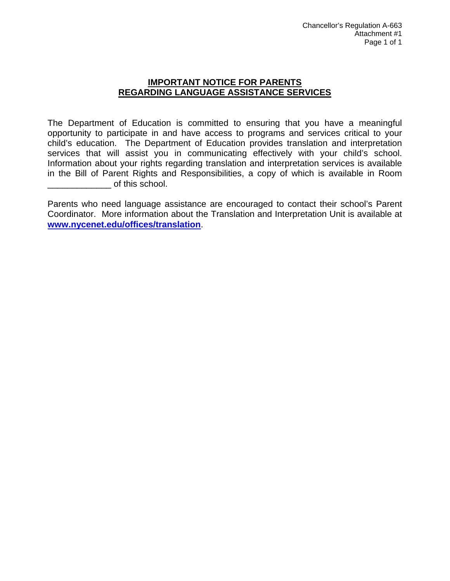### **IMPORTANT NOTICE FOR PARENTS REGARDING LANGUAGE ASSISTANCE SERVICES**

The Department of Education is committed to ensuring that you have a meaningful opportunity to participate in and have access to programs and services critical to your child's education. The Department of Education provides translation and interpretation services that will assist you in communicating effectively with your child's school. Information about your rights regarding translation and interpretation services is available in the Bill of Parent Rights and Responsibilities, a copy of which is available in Room \_\_\_\_\_\_\_\_\_\_\_\_\_ of this school.

Parents who need language assistance are encouraged to contact their school's Parent Coordinator. More information about the Translation and Interpretation Unit is available at **www.nycenet.edu/offices/translation**.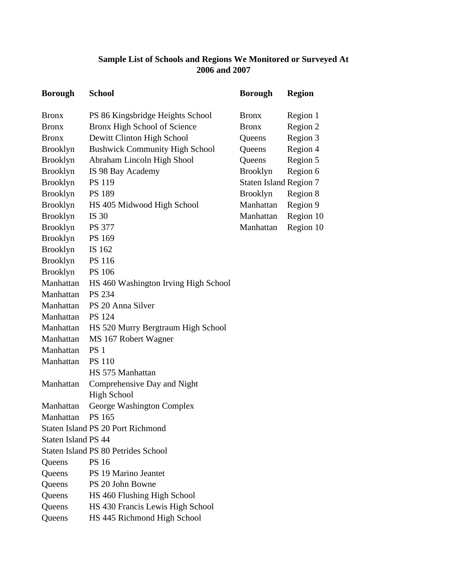## **Sample List of Schools and Regions We Monitored or Surveyed At 2006 and 2007**

| <b>Borough</b>      | <b>School</b>                              | <b>Borough</b>                | <b>Region</b> |
|---------------------|--------------------------------------------|-------------------------------|---------------|
| <b>Bronx</b>        | PS 86 Kingsbridge Heights School           | <b>Bronx</b>                  | Region 1      |
| <b>Bronx</b>        | Bronx High School of Science               | <b>Bronx</b>                  | Region 2      |
| <b>Bronx</b>        | Dewitt Clinton High School                 | Queens                        | Region 3      |
| <b>Brooklyn</b>     | <b>Bushwick Community High School</b>      | Queens                        | Region 4      |
| <b>Brooklyn</b>     | Abraham Lincoln High Shool                 | Queens                        | Region 5      |
| <b>Brooklyn</b>     | IS 98 Bay Academy                          | <b>Brooklyn</b>               | Region 6      |
| <b>Brooklyn</b>     | <b>PS 119</b>                              | <b>Staten Island Region 7</b> |               |
| <b>Brooklyn</b>     | <b>PS 189</b>                              | <b>Brooklyn</b>               | Region 8      |
| <b>Brooklyn</b>     | HS 405 Midwood High School                 | Manhattan                     | Region 9      |
| <b>Brooklyn</b>     | IS 30                                      | Manhattan                     | Region 10     |
| <b>Brooklyn</b>     | <b>PS 377</b>                              | Manhattan                     | Region 10     |
| <b>Brooklyn</b>     | PS 169                                     |                               |               |
| <b>Brooklyn</b>     | IS 162                                     |                               |               |
| <b>Brooklyn</b>     | <b>PS 116</b>                              |                               |               |
| <b>Brooklyn</b>     | <b>PS 106</b>                              |                               |               |
| Manhattan           | HS 460 Washington Irving High School       |                               |               |
| Manhattan           | PS 234                                     |                               |               |
| Manhattan           | PS 20 Anna Silver                          |                               |               |
| Manhattan           | <b>PS</b> 124                              |                               |               |
| Manhattan           | HS 520 Murry Bergtraum High School         |                               |               |
| Manhattan           | MS 167 Robert Wagner                       |                               |               |
| Manhattan           | PS <sub>1</sub>                            |                               |               |
| Manhattan           | <b>PS 110</b>                              |                               |               |
|                     | HS 575 Manhattan                           |                               |               |
| Manhattan           | Comprehensive Day and Night                |                               |               |
|                     | <b>High School</b>                         |                               |               |
| Manhattan           | George Washington Complex                  |                               |               |
| Manhattan           | <b>PS</b> 165                              |                               |               |
|                     | <b>Staten Island PS 20 Port Richmond</b>   |                               |               |
| Staten Island PS 44 |                                            |                               |               |
|                     | <b>Staten Island PS 80 Petrides School</b> |                               |               |
| Queens              | <b>PS 16</b>                               |                               |               |
| Queens              | PS 19 Marino Jeantet                       |                               |               |
| Queens              | PS 20 John Bowne                           |                               |               |
| Queens              | HS 460 Flushing High School                |                               |               |
| Queens              | HS 430 Francis Lewis High School           |                               |               |
| Queens              | HS 445 Richmond High School                |                               |               |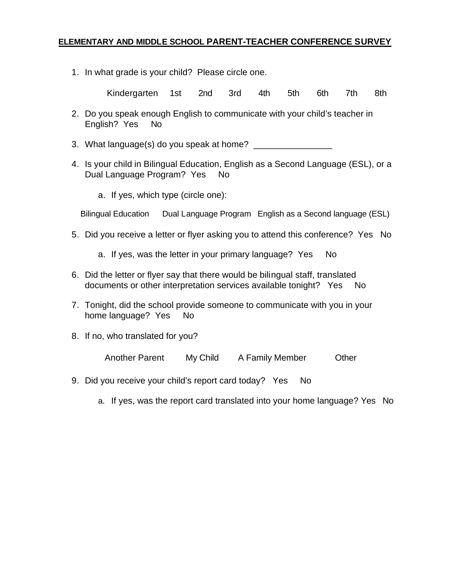## **ELEMENTARY AND MIDDLE SCHOOL PARENT-TEACHER CONFERENCE SURVEY**

1. In what grade is your child? Please circle one.

Kindergarten 1st 2nd 3rd 4th 5th 6th 7th 8th

- 2. Do you speak enough English to communicate with your child's teacher in English? Yes No
- 3. What language(s) do you speak at home?
- 4. Is your child in Bilingual Education, English as a Second Language (ESL), or a Dual Language Program? Yes No
	- a. If yes, which type (circle one):

Bilingual Education Dual Language Program English as a Second language (ESL)

- 5. Did you receive a letter or flyer asking you to attend this conference? Yes No
	- a. If yes, was the letter in your primary language? Yes No
- 6. Did the letter or flyer say that there would be bilingual staff, translated documents or other interpretation services available tonight? Yes No
- 7. Tonight, did the school provide someone to communicate with you in your home language? Yes No
- 8. If no, who translated for you?

Another Parent My Child A Family Member Other

- 9. Did you receive your child's report card today? Yes No
	- a. If yes, was the report card translated into your home language? Yes No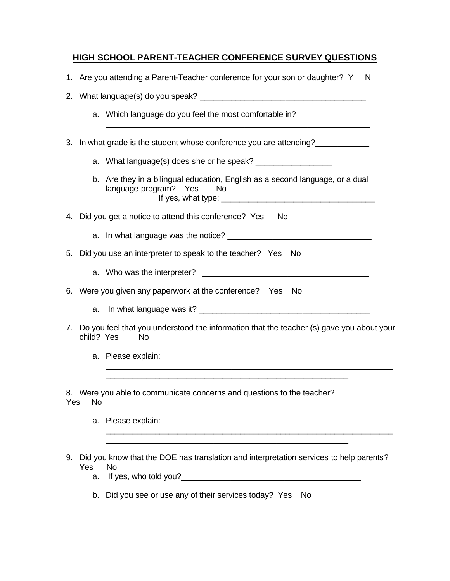## **HIGH SCHOOL PARENT-TEACHER CONFERENCE SURVEY QUESTIONS**

- 1. Are you attending a Parent-Teacher conference for your son or daughter? Y N
- 2. What language(s) do you speak? \_\_\_\_\_\_\_\_\_\_\_\_\_\_\_\_\_\_\_\_\_\_\_\_\_\_\_\_\_\_\_\_\_\_\_\_\_
	- a. Which language do you feel the most comfortable in?
- 3. In what grade is the student whose conference you are attending?
	- a. What language(s) does she or he speak? \_\_\_\_\_\_\_\_\_\_\_\_\_\_\_\_\_
	- b. Are they in a bilingual education, English as a second language, or a dual language program? Yes No If yes, what type: \_\_\_\_\_\_\_\_\_\_\_\_\_\_\_\_\_\_\_\_\_\_\_\_\_\_\_\_\_\_\_\_\_\_

\_\_\_\_\_\_\_\_\_\_\_\_\_\_\_\_\_\_\_\_\_\_\_\_\_\_\_\_\_\_\_\_\_\_\_\_\_\_\_\_\_\_\_\_\_\_\_\_\_\_\_\_\_\_\_\_\_\_\_

- 4. Did you get a notice to attend this conference? Yes No
	- a. In what language was the notice?
- 5. Did you use an interpreter to speak to the teacher? Yes No
	- a. Who was the interpreter?
- 6. Were you given any paperwork at the conference? Yes No
	- a. In what language was it?
- 7. Do you feel that you understood the information that the teacher (s) gave you about your child? Yes No

\_\_\_\_\_\_\_\_\_\_\_\_\_\_\_\_\_\_\_\_\_\_\_\_\_\_\_\_\_\_\_\_\_\_\_\_\_\_\_\_\_\_\_\_\_\_\_\_\_\_\_\_\_\_

\_\_\_\_\_\_\_\_\_\_\_\_\_\_\_\_\_\_\_\_\_\_\_\_\_\_\_\_\_\_\_\_\_\_\_\_\_\_\_\_\_\_\_\_\_\_\_\_\_\_\_\_\_\_\_\_\_\_\_\_\_\_\_\_

\_\_\_\_\_\_\_\_\_\_\_\_\_\_\_\_\_\_\_\_\_\_\_\_\_\_\_\_\_\_\_\_\_\_\_\_\_\_\_\_\_\_\_\_\_\_\_\_\_\_\_\_\_\_\_\_\_\_\_\_\_\_\_\_

a. Please explain:

8. Were you able to communicate concerns and questions to the teacher? Yes No

- a. Please explain:
- 9. Did you know that the DOE has translation and interpretation services to help parents? Yes No

\_\_\_\_\_\_\_\_\_\_\_\_\_\_\_\_\_\_\_\_\_\_\_\_\_\_\_\_\_\_\_\_\_\_\_\_\_\_\_\_\_\_\_\_\_\_\_\_\_\_\_\_\_\_

- a. If yes, who told you?
- b. Did you see or use any of their services today? Yes No